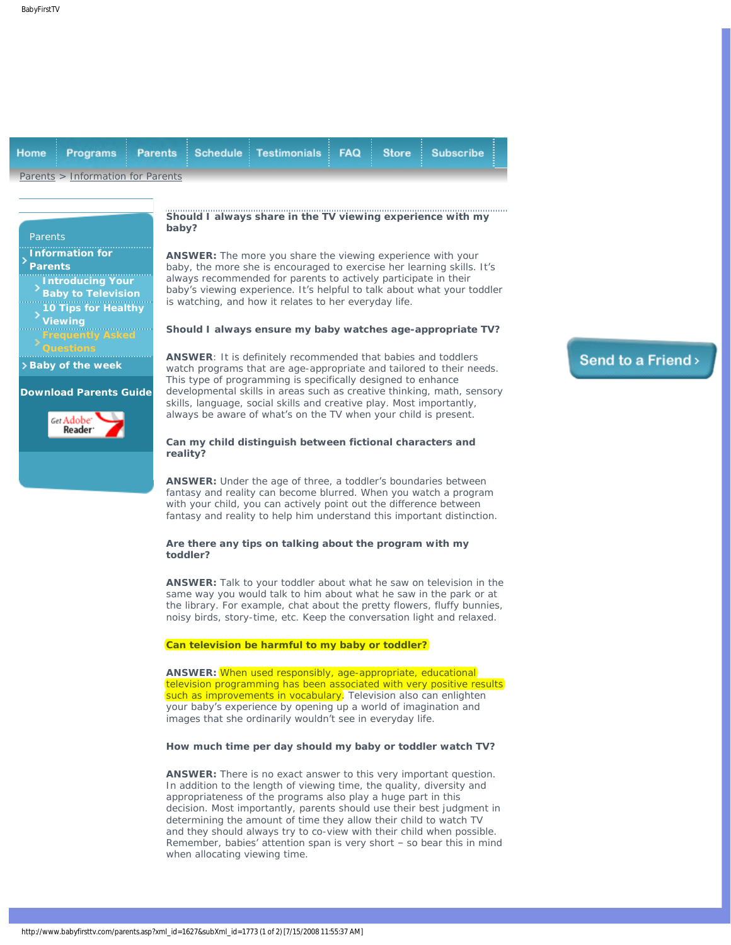<span id="page-0-0"></span>

| Programs<br><b>Home</b>                                                                                                            | <b>Schedule</b><br><b>Parents</b>                                                                                                                                                                                                                                                                                                                                                                                                                                          | <b>Testimonials</b>                                                   | <b>FAQ</b> | <b>Store</b> | <b>Subscribe</b>                                                      |  |
|------------------------------------------------------------------------------------------------------------------------------------|----------------------------------------------------------------------------------------------------------------------------------------------------------------------------------------------------------------------------------------------------------------------------------------------------------------------------------------------------------------------------------------------------------------------------------------------------------------------------|-----------------------------------------------------------------------|------------|--------------|-----------------------------------------------------------------------|--|
| Parents > Information for Parents                                                                                                  |                                                                                                                                                                                                                                                                                                                                                                                                                                                                            |                                                                       |            |              |                                                                       |  |
|                                                                                                                                    |                                                                                                                                                                                                                                                                                                                                                                                                                                                                            |                                                                       |            |              |                                                                       |  |
| Parents                                                                                                                            | Should I always share in the TV viewing experience with my<br>baby?                                                                                                                                                                                                                                                                                                                                                                                                        |                                                                       |            |              |                                                                       |  |
| <b>Information for</b><br><b>Parents</b><br>Introducing Your<br><b>Baby to Television</b><br><b>10 Tips for Healthy</b><br>Viewing | <b>ANSWER:</b> The more you share the viewing experience with your<br>baby, the more she is encouraged to exercise her learning skills. It's<br>always recommended for parents to actively participate in their<br>baby's viewing experience. It's helpful to talk about what your toddler<br>is watching, and how it relates to her everyday life.                                                                                                                        |                                                                       |            |              |                                                                       |  |
| requently Asked·                                                                                                                   |                                                                                                                                                                                                                                                                                                                                                                                                                                                                            | Should I always ensure my baby watches age-appropriate TV?            |            |              |                                                                       |  |
| > Baby of the week<br><b>Download Parents Guide</b><br>Get Adobe'<br>Reader <sup>.</sup>                                           | <b>ANSWER:</b> It is definitely recommended that babies and toddlers<br>watch programs that are age-appropriate and tailored to their needs.<br>This type of programming is specifically designed to enhance<br>developmental skills in areas such as creative thinking, math, sensory<br>skills, language, social skills and creative play. Most importantly,<br>always be aware of what's on the TV when your child is present.                                          |                                                                       |            |              |                                                                       |  |
|                                                                                                                                    | Can my child distinguish between fictional characters and<br>reality?                                                                                                                                                                                                                                                                                                                                                                                                      |                                                                       |            |              |                                                                       |  |
|                                                                                                                                    | <b>ANSWER:</b> Under the age of three, a toddler's boundaries between<br>fantasy and reality can become blurred. When you watch a program<br>with your child, you can actively point out the difference between<br>fantasy and reality to help him understand this important distinction.                                                                                                                                                                                  |                                                                       |            |              |                                                                       |  |
|                                                                                                                                    | Are there any tips on talking about the program with my<br>toddler?                                                                                                                                                                                                                                                                                                                                                                                                        |                                                                       |            |              |                                                                       |  |
|                                                                                                                                    | <b>ANSWER:</b> Talk to your toddler about what he saw on television in the<br>same way you would talk to him about what he saw in the park or at<br>the library. For example, chat about the pretty flowers, fluffy bunnies,<br>noisy birds, story-time, etc. Keep the conversation light and relaxed.                                                                                                                                                                     |                                                                       |            |              |                                                                       |  |
|                                                                                                                                    | Can television be harmful to my baby or toddler?                                                                                                                                                                                                                                                                                                                                                                                                                           |                                                                       |            |              |                                                                       |  |
|                                                                                                                                    | ANSWER: When used responsibly, age-appropriate, educational<br>such as improvements in vocabulary. Television also can enlighten<br>your baby's experience by opening up a world of imagination and<br>images that she ordinarily wouldn't see in everyday life.                                                                                                                                                                                                           |                                                                       |            |              | television programming has been associated with very positive results |  |
|                                                                                                                                    | How much time per day should my baby or toddler watch TV?                                                                                                                                                                                                                                                                                                                                                                                                                  |                                                                       |            |              |                                                                       |  |
|                                                                                                                                    | <b>ANSWER:</b> There is no exact answer to this very important question.<br>In addition to the length of viewing time, the quality, diversity and<br>appropriateness of the programs also play a huge part in this<br>decision. Most importantly, parents should use their best judgment in<br>determining the amount of time they allow their child to watch TV<br>Remember, babies' attention span is very short - so bear this in mind<br>when allocating viewing time. | and they should always try to co-view with their child when possible. |            |              |                                                                       |  |

## Send to a Friend>